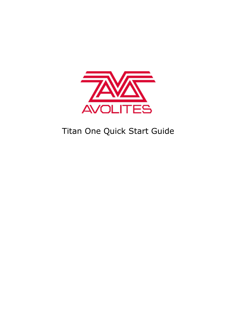

# Titan One Quick Start Guide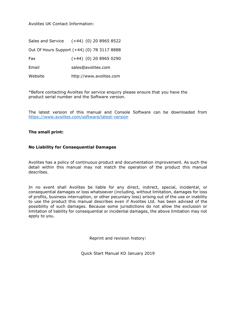Avolites UK Contact Information:

Sales and Service (+44) (0) 20 8965 8522 Out Of Hours Support (+44) (0) 78 3117 8888 Fax (+44) (0) 20 8965 0290 Email [sales@avolites.com](mailto:name@avolites.com) Website http://www.avolites.com

\*Before contacting Avolites for service enquiry please ensure that you have the product serial number and the Software version.

The latest version of this manual and Console Software can be downloaded from <https://www.avolites.com/software/latest-version>

#### **The small print:**

#### **No Liability for Consequential Damages**

Avolites has a policy of continuous product and documentation improvement. As such the detail within this manual may not match the operation of the product this manual describes.

In no event shall Avolites be liable for any direct, indirect, special, incidental, or consequential damages or loss whatsoever (including, without limitation, damages for loss of profits, business interruption, or other pecuniary loss) arising out of the use or inability to use the product this manual describes even if Avolites Ltd. has been advised of the possibility of such damages. Because some jurisdictions do not allow the exclusion or limitation of liability for consequential or incidental damages, the above limitation may not apply to you.

Reprint and revision history:

Quick Start Manual KD January 2019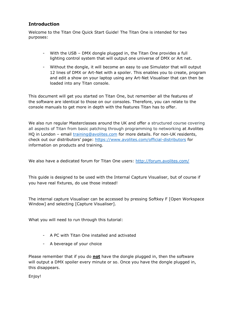# **Introduction**

Welcome to the Titan One Quick Start Guide! The Titan One is intended for two purposes:

- With the USB DMX dongle plugged in, the Titan One provides a full lighting control system that will output one universe of DMX or Art net.
- Without the dongle, it will become an easy to use Simulator that will output 12 lines of DMX or Art-Net with a spoiler. This enables you to create, program and edit a show on your laptop using any Art-Net Visualiser that can then be loaded into any Titan console.

This document will get you started on Titan One, but remember all the features of the software are identical to those on our consoles. Therefore, you can relate to the console manuals to get more in depth with the features Titan has to offer.

We also run regular Masterclasses around the UK and offer a structured course covering all aspects of Titan from basic patching through programming to networking at Avolites HQ in London - email *[training@avolites.com](mailto:training@avolites.com)* for more details. For non-UK residents, check out our distributors' page:<https://www.avolites.com/official-distributors> for information on products and training.

We also have a dedicated forum for Titan One users:<http://forum.avolites.com/>

This guide is designed to be used with the Internal Capture Visualiser, but of course if you have real fixtures, do use those instead!

The internal capture Visualiser can be accessed by pressing Softkey F [Open Workspace Window] and selecting [Capture Visualiser].

What you will need to run through this tutorial:

- A PC with Titan One installed and activated
- A beverage of your choice

Please remember that if you do **not** have the dongle plugged in, then the software will output a DMX spoiler every minute or so. Once you have the dongle plugged in, this disappears.

Enjoy!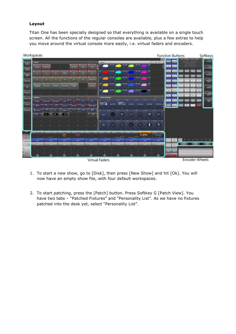# **Layout**

Titan One has been specially designed so that everything is available on a single touch screen. All the functions of the regular consoles are available, plus a few extras to help you move around the virtual console more easily, i.e. virtual faders and encoders.



- 1. To start a new show, go to [Disk], then press [New Show] and hit [Ok]. You will now have an empty show file, with four default workspaces.
- 2. To start patching, press the [Patch] button. Press Softkey G [Patch View]. You have two tabs - "Patched Fixtures" and "Personality List". As we have no fixtures patched into the desk yet, select "Personality List".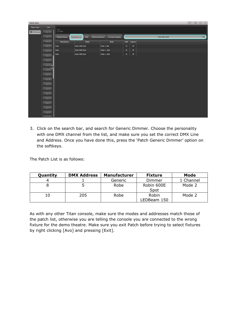| <b>Putch View</b>     |                |                         |                         |              |                       |                        |        |               |  |                      |  | $(1, 1)$ (61 (f)   $\times$ |
|-----------------------|----------------|-------------------------|-------------------------|--------------|-----------------------|------------------------|--------|---------------|--|----------------------|--|-----------------------------|
| <b>Tishaw Tiger</b>   | <b>Unit</b>    |                         |                         |              |                       |                        |        |               |  |                      |  |                             |
| <b>Bill All Forum</b> | <b>CALLE</b>   | $rac{1}{312}$ post      |                         |              |                       |                        |        |               |  |                      |  |                             |
|                       | Grass.         | <b>Palched Fallures</b> | Personality List        | <b>RESIN</b> | <b>ATELIA RESINAL</b> | <b>Exclosed Theory</b> |        |               |  | <b>King COM Said</b> |  | E)                          |
|                       | (Australia)    | Handschen               |                         | Picket       |                       | Nois                   | $\Box$ | <b>Cipius</b> |  |                      |  |                             |
|                       | <b>GATE</b>    | <b>Robe</b>             | Robin BODE Spot         |              | Plode 3, 1998         |                        | m      | o             |  |                      |  |                             |
|                       | <b>CANTES</b>  | <b>Robo</b>             | <b>Roller BEET Spot</b> |              | Plodo 2, 1008         |                        | z      | п             |  |                      |  |                             |
|                       | <b>CELL</b>    | <b>Robo</b>             | Robin BODE Spot         |              | <b>Mode L. 16bit</b>  |                        | 业      | ▫             |  |                      |  |                             |
|                       | <b>CONTA</b>   |                         |                         |              |                       |                        |        |               |  |                      |  |                             |
|                       | <b>Counter</b> |                         |                         |              |                       |                        |        |               |  |                      |  |                             |
|                       | <b>Counts</b>  |                         |                         |              |                       |                        |        |               |  |                      |  |                             |
|                       | <b>Gam</b>     |                         |                         |              |                       |                        |        |               |  |                      |  |                             |
|                       | <b>CHETE</b>   |                         |                         |              |                       |                        |        |               |  |                      |  |                             |
|                       | (sem)          |                         |                         |              |                       |                        |        |               |  |                      |  |                             |
|                       | <b>Gress</b>   |                         |                         |              |                       |                        |        |               |  |                      |  |                             |
|                       | <b>General</b> |                         |                         |              |                       |                        |        |               |  |                      |  |                             |
|                       | (Gentle)       |                         |                         |              |                       |                        |        |               |  |                      |  |                             |
|                       | <b>Crestin</b> |                         |                         |              |                       |                        |        |               |  |                      |  |                             |
|                       | <b>EDITE</b>   |                         |                         |              |                       |                        |        |               |  |                      |  |                             |
|                       | Live IT        |                         |                         |              |                       |                        |        |               |  |                      |  |                             |
|                       |                |                         |                         |              |                       |                        |        |               |  |                      |  |                             |

3. Click on the search bar, and search for Generic Dimmer. Choose the personality with one DMX channel from the list, and make sure you set the correct DMX Line and Address. Once you have done this, press the 'Patch Generic Dimmer' option on the softkeys.

The Patch List is as follows:

| Quantity | <b>DMX Address</b> | <b>Manufacturer</b> | <b>Fixture</b>       | Mode      |
|----------|--------------------|---------------------|----------------------|-----------|
|          |                    | Generic             | Dimmer               | 1 Channel |
|          |                    | Robe                | Robin 600E<br>Spot   | Mode 2    |
|          | 205                | Robe                | Robin<br>LEDBeam 150 | Mode 2    |

As with any other Titan console, make sure the modes and addresses match those of the patch list, otherwise you are telling the console you are connected to the wrong fixture for the demo theatre. Make sure you exit Patch before trying to select fixtures by right clicking [Avo] and pressing [Exit].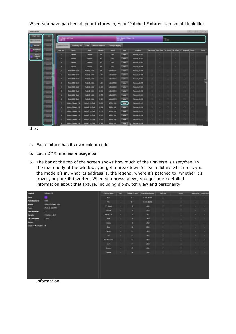When you have patched all your fixtures in, your 'Patched Fixtures' tab should look like

| <b>Patch View</b>          |                                   |                          |                             |                        |                          |                            |                                 |                        |   |                                                                                                                                                                                                                                                                                                                                                                                                                                                                            |         |        |                                                                            | $H$ $\alpha$ $H$ |
|----------------------------|-----------------------------------|--------------------------|-----------------------------|------------------------|--------------------------|----------------------------|---------------------------------|------------------------|---|----------------------------------------------------------------------------------------------------------------------------------------------------------------------------------------------------------------------------------------------------------------------------------------------------------------------------------------------------------------------------------------------------------------------------------------------------------------------------|---------|--------|----------------------------------------------------------------------------|------------------|
| <b>Tistay Time</b>         | <b>Line</b>                       |                          | <b>B = 1:00 000 Spot</b>    |                        |                          |                            | <b>It + Root (Filters III</b> ) |                        |   |                                                                                                                                                                                                                                                                                                                                                                                                                                                                            | m       |        |                                                                            |                  |
| <b>BEAUTIMAN</b>           | <b>Cardian</b>                    | 200 1960                 |                             |                        |                          | <b>THO DIREC</b>           |                                 |                        |   |                                                                                                                                                                                                                                                                                                                                                                                                                                                                            | 141 010 |        |                                                                            |                  |
| Director                   | <b>Line Ed</b>                    | <b>Patchell Tollates</b> | Penaratty Dr.               | <b>COV</b>             | <b>Att but Total man</b> | <b>Enterprise programs</b> |                                 |                        |   |                                                                                                                                                                                                                                                                                                                                                                                                                                                                            |         |        |                                                                            |                  |
| <b>Schie GOOD</b><br>Sport | <b>SPR 25</b>                     | Line No.                 | Pisture                     | Hotel                  | <b>Tallers</b>           | Ligard                     | View                            | Location               |   |                                                                                                                                                                                                                                                                                                                                                                                                                                                                            |         |        | Fan Invert : Pair Offset : 118 (novel : TA Offset : INT Developed : frozen | <b>Boos</b>      |
| <b>Books</b><br>1 TC/Goutt | <b>Line II</b>                    |                          | Drawin                      | Draw                   | <b>LE</b>                | Direc                      | Week.                           | Plotama, 1,001         |   | $\sim$                                                                                                                                                                                                                                                                                                                                                                                                                                                                     |         |        |                                                                            |                  |
| <b>SW</b>                  | <b>LINES</b>                      | ٠                        | <b>Distances</b>            | <b>Tarantas</b>        | 1.2                      | <b>Inn</b>                 | <b>State</b>                    | <b>Flaterma, 1.902</b> |   | $\sim$                                                                                                                                                                                                                                                                                                                                                                                                                                                                     |         | ×      |                                                                            |                  |
|                            | =<br><b>Les</b> 2                 | ы                        | Descort                     | <b>Connect</b>         | 13                       | Dires.                     | <b>View</b>                     | Pleburgs, 1,003        |   | ٠                                                                                                                                                                                                                                                                                                                                                                                                                                                                          |         | ×      |                                                                            |                  |
|                            | $\overline{\phantom{a}}$          | ٠                        | Dealer                      | Director               | 1.4                      | Days:                      | <b>Wind</b>                     | Fistures, 1.004        |   | $\sim$                                                                                                                                                                                                                                                                                                                                                                                                                                                                     |         | ×      |                                                                            |                  |
|                            | 1415.25                           | в                        | <b>Retter BlkK Spot</b>     | Whole 2, 16km          | 11                       | <b>Ticklestones</b>        | Vitre                           | <b>Fatures, 1.905</b>  |   | $\sim$                                                                                                                                                                                                                                                                                                                                                                                                                                                                     |         | $\sim$ |                                                                            |                  |
|                            | 144.13                            | ٠                        | <b>Reten 630E 5pot</b>      | <b>Hyde 2, 10bit</b>   | 1.30                     | <b>HybridOUS</b>           | Vew<br>                         | <b>Flatkins, 1,006</b> |   | $\sim$                                                                                                                                                                                                                                                                                                                                                                                                                                                                     | o       | ×      | o                                                                          |                  |
|                            | 1973<br>=                         | ×                        | <b>Edge UKC Spot</b>        | Hiddel 2, 1688         | 1.55                     | RobinsonCL                 | <b>Arrest</b>                   | Flatsman, L.BOT        | o | $\sim$                                                                                                                                                                                                                                                                                                                                                                                                                                                                     | o       | m.     | o                                                                          |                  |
|                            | 49.9                              | ٠                        | Tates DDE Spot              | <b>FRAME 2, 1988</b>   | 1.MD                     | <b>Robinsocks</b>          | <b>Mars</b>                     | Patents, LOOR          | o |                                                                                                                                                                                                                                                                                                                                                                                                                                                                            | Q       | m.     | o                                                                          |                  |
|                            | $\overline{\phantom{a}}$<br>16.19 | ٠                        | <b>Ruture KIKKT Sizer</b>   | Mode 3, solar          | 1.115                    | <b><i>Hobby@ODES</i></b>   | <b>View</b>                     | Fistana, L.800         |   | $\sim$                                                                                                                                                                                                                                                                                                                                                                                                                                                                     | n       |        | п                                                                          |                  |
|                            | =<br>14.78                        | 10                       | Keller 6000 Spot            | Mode 2, 1884           | 1330                     | <b>Nobinfoots</b>          | Vest                            | <b>Meteris, LG10</b>   | o |                                                                                                                                                                                                                                                                                                                                                                                                                                                                            | o       | ×      | n                                                                          |                  |
|                            | -                                 | n                        | <b>Rutter WACE Spot</b>     | Mode 3, 1988           | 1.135                    | Holstr@000%                | <b>Weve</b>                     | Fishered, LOLL         | o | $\sim$                                                                                                                                                                                                                                                                                                                                                                                                                                                                     | n       | ×      | o                                                                          |                  |
|                            | in 1<br>--                        | <b>In</b>                | <b>Robin 69JE Spot</b>      | Photo 2, 1868          | 1.180                    | <b>Roberskildtrs</b>       | <b>Virus</b>                    | <b>Fidums, L112</b>    | o | $\sim$                                                                                                                                                                                                                                                                                                                                                                                                                                                                     |         | ×.     |                                                                            |                  |
|                            | <b>Line 3</b>                     | Ð                        | <b>Nation LEDDIERN 158</b>  | 1900) 2, 16,0900       | 1,239                    | 1/29+190                   | <b>Vite</b>                     | Fletoms, LVL3          | u | ×                                                                                                                                                                                                                                                                                                                                                                                                                                                                          |         | ×      |                                                                            |                  |
|                            | <b>In Fig.</b><br>=               | 18                       | Robin LEDSmart, 174         | Plodis 2, 16 OMX       | 1,221                    | 100m 150                   | <b>Van</b>                      | Flatsmer, LGD4         | ۰ | <b>COL</b>                                                                                                                                                                                                                                                                                                                                                                                                                                                                 | o       | n.     |                                                                            |                  |
|                            | <b>Inches</b>                     | 15                       | Robin LEDRANN 110           | <b>Mode 2, 18 DMX</b>  | 1.227                    | 120914-130                 | Www.                            | Helena, 1.015          |   | $\sim$                                                                                                                                                                                                                                                                                                                                                                                                                                                                     |         | ×      |                                                                            |                  |
|                            | =<br>144.78                       | m                        | <b>Rates LEDSHART 153</b>   | <b>Plode 2, 18 DHX</b> | 120                      | LCD0re 103                 | Vive <sub>1</sub>               | Fisherma, 1,016        | o | $\frac{1}{2} \left( \frac{1}{2} \right) \left( \frac{1}{2} \right) \left( \frac{1}{2} \right) \left( \frac{1}{2} \right) \left( \frac{1}{2} \right) \left( \frac{1}{2} \right) \left( \frac{1}{2} \right) \left( \frac{1}{2} \right) \left( \frac{1}{2} \right) \left( \frac{1}{2} \right) \left( \frac{1}{2} \right) \left( \frac{1}{2} \right) \left( \frac{1}{2} \right) \left( \frac{1}{2} \right) \left( \frac{1}{2} \right) \left( \frac{1}{2} \right) \left( \frac$ | o       | ×      |                                                                            |                  |
|                            | <b>COLOR</b>                      | $\mathbb{F}^2$           | <b>Robin (EDItion: 130)</b> | <b>Phode 2, 10 DHX</b> | 1,291                    | 1E08+190                   | <b>View</b>                     | Fishings, LG17         |   | $\sim$                                                                                                                                                                                                                                                                                                                                                                                                                                                                     |         | 191    |                                                                            |                  |
|                            |                                   | 19                       | <b>Robin LEO Bram, 158</b>  | <b>FIGHT 2.15 DWL</b>  | 1285                     | 10000.000                  | Vine :                          | Fistures, 1.818        |   |                                                                                                                                                                                                                                                                                                                                                                                                                                                                            |         |        |                                                                            |                  |

this:

- 4. Each fixture has its own colour code
- 5. Each DMX line has a usage bar
- 6. The bar at the top of the screen shows how much of the universe is used/free. In the main body of the window, you get a breakdown for each fixture which tells you the mode it's in, what its address is, the legend, where it's patched to, whether it's frozen, or pan/tilt inverted. When you press 'View', you get more detailed information about that fixture, including dip switch view and personality

| Legend             | LEDSH 150                 | <b>Channel Home</b> | <b>DH</b> | <b>Clannel Offsets</b>     | <b>Clarine Attresses</b> | <b>Internal</b> | <b>Process</b> |        | Lower Live, Lipper Limit |
|--------------------|---------------------------|---------------------|-----------|----------------------------|--------------------------|-----------------|----------------|--------|--------------------------|
| <b>Halo</b>        |                           | Part                |           | 1, 1                       | 1.300, 1.300             | ٠               | o              |        |                          |
| Manufacturer       | <b>Robert</b>             | m                   | ×         | 3,4                        | 1.307, 1.300             | $\mathbf{u}$    |                |        | <b>COL</b>               |
| Model              | <b>Robin LEOBoatt 150</b> | 9/7 Speed           | ÷         | £,                         | 1,299                    | 耳               | s              | ÷      | ÷                        |
| <b>Made</b>        | Mode 2, 16 DMX            |                     |           |                            |                          |                 |                |        |                          |
| <b>User Rumber</b> | <b>B</b>                  | Control             | ×         | $\sim$                     | 1,210                    |                 |                | $\sim$ | control.                 |
| Handle             | Fishing, 1.013            | Virtual Col.        | <b>SO</b> | r.                         | Litt.                    | ٠               | o              | ×      | c.                       |
| <b>DMX Address</b> | 1.205                     | Red                 | ×         | п                          | 1302                     | o               | m              |        | œ                        |
| <b>Notes</b>       |                           | Green               | ×         | ۰                          | 1.713                    | n               |                | ٠      | 18                       |
| Capture Available  |                           | <b>But</b>          | ×         | w                          | <b>DOM</b><br>1214       |                 |                | $\sim$ | $\sim$                   |
|                    |                           | White               | ×         | $\overline{\mathbf{u}}$    | 1715                     | o               |                | ÷      | ÷                        |
|                    |                           | <b>CTO</b>          | $\sim$    | $\mathbf{u}$               | 1206                     | a               |                |        | m.                       |
|                    |                           | <b>Contra Forc</b>  | ×         | $\alpha$                   | 1,237                    | o               | o              | ۰      | o m                      |
|                    |                           | Jape                | ×         | $\mathbf{H}$               | tim                      |                 | ÷              | $\sim$ | c.                       |
|                    |                           | <b>Shutter</b>      | ×         | $\mathfrak{t}\mathfrak{s}$ | 1229                     | o               | o              | ×      | n.                       |
|                    |                           | Dreve               | $\sim$    | 16.                        | 1,220                    | a               |                |        |                          |
|                    |                           |                     |           |                            |                          |                 |                |        |                          |

information.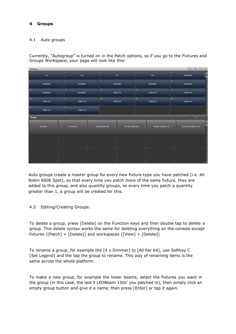# **4 Groups**

## 4.1 Auto groups

Currently, "Autogroup" is turned on in the Patch options, so if you go to the Fixtures and Groups Workspace, your page will look like this:

| <b>Fistures</b>               |                                         |                  |                                                                                                                                                                                                                                                                                                                         | (8)0 (1)                                    |
|-------------------------------|-----------------------------------------|------------------|-------------------------------------------------------------------------------------------------------------------------------------------------------------------------------------------------------------------------------------------------------------------------------------------------------------------------|---------------------------------------------|
| п<br><b>Des</b>               | ×<br><b>Det</b>                         | Des              | <b>AD</b><br>OH                                                                                                                                                                                                                                                                                                         | ٠<br>Reinforces                             |
| <b>Futbrewatters</b>          | Real About                              | Roter#200ES      | <b>Remotors</b>                                                                                                                                                                                                                                                                                                         | ×<br>Retentoots                             |
| <b>HF</b><br><b>Residence</b> | œ<br><b>Station</b><br><b>Burniston</b> | m<br>1100+150    | w<br>Littlem 156                                                                                                                                                                                                                                                                                                        | w<br><b>LEDGIN 190</b>                      |
| 16<br>LIDENTIN                | $\overline{\mathbf{u}}$<br>1/200+150    | 頂<br>1,539 = 150 | m<br><b>LISH-15K</b>                                                                                                                                                                                                                                                                                                    | $\overline{\phantom{a}}$<br><b>LEON/197</b> |
| m<br>Laber tie                | 丗<br>17091150                           |                  | 训                                                                                                                                                                                                                                                                                                                       | ж                                           |
| Groups                        |                                         |                  |                                                                                                                                                                                                                                                                                                                         | 日田紀                                         |
| At Diverse                    |                                         | Altres Mit Ser   | $[16.5,0.0000000000000] \centering% \begin{tabular}{lcccc} \toprule & 0.4cm & 0.4cm & 0.4cm & 0.4cm & 0.4cm & 0.4cm & 0.4cm & 0.4cm & 0.4cm & 0.4cm & 0.4cm & 0.4cm & 0.4cm & 0.4cm & 0.4cm & 0.4cm & 0.4cm & 0.4cm & 0.4cm & 0.4cm & 0.4cm & 0.4cm & 0.4cm & 0.4cm & 0.4cm & 0.4cm & 0.4cm & 0.4cm & 0.4cm & 0.4cm & $ | [10: Rows LEDman 150]                       |
|                               |                                         |                  |                                                                                                                                                                                                                                                                                                                         |                                             |
|                               |                                         |                  |                                                                                                                                                                                                                                                                                                                         |                                             |
|                               |                                         |                  |                                                                                                                                                                                                                                                                                                                         |                                             |
|                               |                                         |                  |                                                                                                                                                                                                                                                                                                                         |                                             |
|                               | 141                                     |                  | m                                                                                                                                                                                                                                                                                                                       | 17.<br>m                                    |

Auto groups create a master group for every new fixture type you have patched (i.e. All Robin 600E Spot), so that every time you patch more of the same fixture, they are added to this group, and also quantity groups, so every time you patch a quantity greater than 1, a group will be created for this.

## 4.2 Editing/Creating Groups:

To delete a group, press [Delete] on the Function keys and then double tap to delete a group. This delete syntax works the same for deleting everything on the console except fixtures ([Patch] + [Delete]) and workspaces ([View] + [Delete])

To rename a group, for example the [4 x Dimmer] to [All Par 64], use Softkey C [Set Legend] and the tap the group to rename. This way of renaming items is the same across the whole platform.

To make a new group, for example the lower beams, select the fixtures you want in the group (in this case, the last 5 LEDBeam 150s' you patched in), then simply click an empty group button and give it a name, then press [Enter] or tap it again.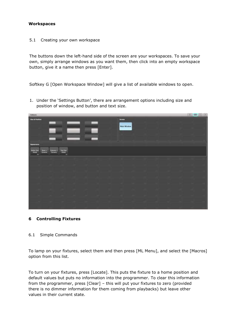#### **Workspaces**

5.1 Creating your own workspace

The buttons down the left-hand side of the screen are your workspaces. To save your own, simply arrange windows as you want them, then click into an empty workspace button, give it a name then press [Enter].

Softkey G [Open Workspace Window] will give a list of available windows to open.

1. Under the 'Settings Button', there are arrangement options including size and position of window, and button and text size.



## **6 Controlling Fixtures**

#### 6.1 Simple Commands

To lamp on your fixtures, select them and then press [ML Menu], and select the [Macros] option from this list.

To turn on your fixtures, press [Locate]. This puts the fixture to a home position and default values but puts no information into the programmer. To clear this information from the programmer, press [Clear] – this will put your fixtures to zero (provided there is no dimmer information for them coming from playbacks) but leave other values in their current state.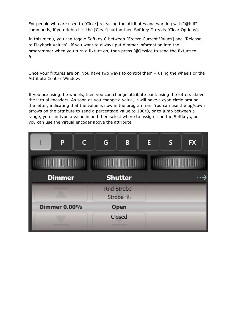For people who are used to [Clear] releasing the attributes and working with "@full" commands, if you right click the [Clear] button then Softkey D reads [Clear Options].

In this menu, you can toggle Softkey C between [Freeze Current Values] and [Release to Playback Values]. If you want to always put dimmer information into the programmer when you turn a fixture on, then press [@] twice to send the fixture to full.

Once your fixtures are on, you have two ways to control them – using the wheels or the Attribute Control Window.

If you are using the wheels, then you can change attribute bank using the letters above the virtual encoders. As soon as you change a value, it will have a cyan circle around the letter, indicating that the value is now in the programmer. You can use the up/down arrows on the attribute to send a percentage value to 100/0, or to jump between a range, you can type a value in and then select where to assign it on the Softkeys, or you can use the virtual encoder above the attribute.

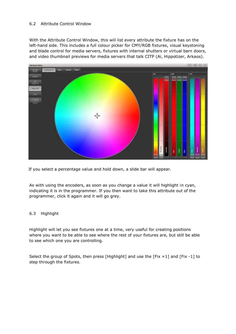## 6.2 Attribute Control Window

With the Attribute Control Window, this will list every attribute the fixture has on the left-hand side. This includes a full colour picker for CMY/RGB fixtures, visual keystoning and blade control for media servers, fixtures with internal shutters or virtual barn doors, and video thumbnail previews for media servers that talk CITP (Ai, Hippotizer, Arkaos).



If you select a percentage value and hold down, a slide bar will appear.

As with using the encoders, as soon as you change a value it will highlight in cyan, indicating it is in the programmer. If you then want to take this attribute out of the programmer, click it again and it will go grey.

## 6.3 Highlight

Highlight will let you see fixtures one at a time, very useful for creating positions where you want to be able to see where the rest of your fixtures are, but still be able to see which one you are controlling.

Select the group of Spots, then press [Highlight] and use the [Fix +1] and [Fix -1] to step through the fixtures.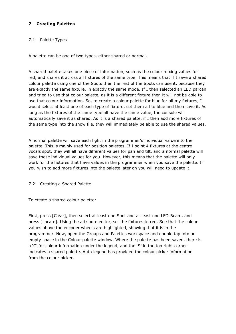# **7 Creating Palettes**

#### 7.1 Palette Types

A palette can be one of two types, either shared or normal.

A shared palette takes one piece of information, such as the colour mixing values for red, and shares it across all fixtures of the same type. This means that if I save a shared colour palette using one of the Spots then the rest of the Spots can use it, because they are exactly the same fixture, in exactly the same mode. If I then selected an LED parcan and tried to use that colour palette, as it is a different fixture then it will not be able to use that colour information. So, to create a colour palette for blue for all my fixtures, I would select at least one of each type of fixture, set them all to blue and then save it. As long as the fixtures of the same type all have the same value, the console will automatically save it as shared. As it is a shared palette, if I then add more fixtures of the same type into the show file, they will immediately be able to use the shared values.

A normal palette will save each light in the programmer's individual value into the palette. This is mainly used for position palettes. If I point 4 fixtures at the centre vocals spot, they will all have different values for pan and tilt, and a normal palette will save these individual values for you. However, this means that the palette will only work for the fixtures that have values in the programmer when you save the palette. If you wish to add more fixtures into the palette later on you will need to update it.

#### 7.2 Creating a Shared Palette

To create a shared colour palette:

First, press [Clear], then select at least one Spot and at least one LED Beam, and press [Locate]. Using the attribute editor, set the fixtures to red. See that the colour values above the encoder wheels are highlighted, showing that it is in the programmer. Now, open the Groups and Palettes workspace and double tap into an empty space in the Colour palette window. Where the palette has been saved, there is a 'C' for colour information under the legend, and the 'S' in the top right corner indicates a shared palette. Auto legend has provided the colour picker information from the colour picker.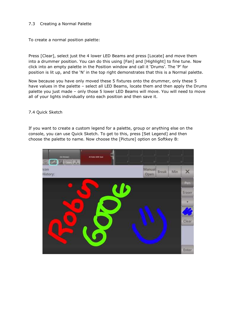## 7.3 Creating a Normal Palette

To create a normal position palette:

Press [Clear], select just the 4 lower LED Beams and press [Locate] and move them into a drummer position. You can do this using [Fan] and [Highlight] to fine tune. Now click into an empty palette in the Position window and call it 'Drums'. The 'P' for position is lit up, and the 'N' in the top right demonstrates that this is a Normal palette.

Now because you have only moved these 5 fixtures onto the drummer, only these 5 have values in the palette – select all LED Beams, locate them and then apply the Drums palette you just made – only those 5 lower LED Beams will move. You will need to move all of your lights individually onto each position and then save it.

#### 7.4 Quick Sketch

If you want to create a custom legend for a palette, group or anything else on the console, you can use Quick Sketch. To get to this, press [Set Legend] and then choose the palette to name. Now choose the [Picture] option on Softkey B:

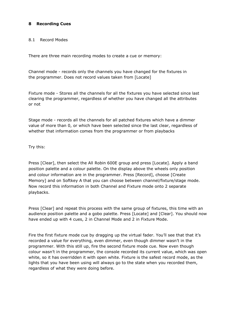## **8 Recording Cues**

#### 8.1 Record Modes

There are three main recording modes to create a cue or memory:

Channel mode - records only the channels you have changed for the fixtures in the programmer. Does not record values taken from [Locate]

Fixture mode - Stores all the channels for all the fixtures you have selected since last clearing the programmer, regardless of whether you have changed all the attributes or not

Stage mode - records all the channels for all patched fixtures which have a dimmer value of more than 0, or which have been selected since the last clear, regardless of whether that information comes from the programmer or from playbacks

Try this:

Press [Clear], then select the All Robin 600E group and press [Locate]. Apply a band position palette and a colour palette. On the display above the wheels only position and colour information are in the programmer. Press [Record], choose [Create Memory] and on Softkey A that you can choose between channel/fixture/stage mode. Now record this information in both Channel and Fixture mode onto 2 separate playbacks.

Press [Clear] and repeat this process with the same group of fixtures, this time with an audience position palette and a gobo palette. Press [Locate] and [Clear]. You should now have ended up with 4 cues, 2 in Channel Mode and 2 in Fixture Mode.

Fire the first fixture mode cue by dragging up the virtual fader. You'll see that that it's recorded a value for everything, even dimmer, even though dimmer wasn't in the programmer. With this still up, fire the second fixture mode cue. Now even though colour wasn't in the programmer, the console recorded its current value, which was open white, so it has overridden it with open white. Fixture is the safest record mode, as the lights that you have been using will always go to the state when you recorded them, regardless of what they were doing before.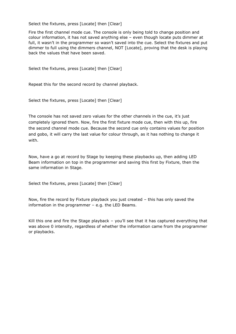Select the fixtures, press [Locate] then [Clear]

Fire the first channel mode cue. The console is only being told to change position and colour information, it has not saved anything else – even though locate puts dimmer at full, it wasn't in the programmer so wasn't saved into the cue. Select the fixtures and put dimmer to full using the dimmers channel, NOT [Locate], proving that the desk is playing back the values that have been saved.

Select the fixtures, press [Locate] then [Clear]

Repeat this for the second record by channel playback.

Select the fixtures, press [Locate] then [Clear]

The console has not saved zero values for the other channels in the cue, it's just completely ignored them. Now, fire the first fixture mode cue, then with this up, fire the second channel mode cue. Because the second cue only contains values for position and gobo, it will carry the last value for colour through, as it has nothing to change it with.

Now, have a go at record by Stage by keeping these playbacks up, then adding LED Beam information on top in the programmer and saving this first by Fixture, then the same information in Stage.

Select the fixtures, press [Locate] then [Clear]

Now, fire the record by Fixture playback you just created – this has only saved the information in the programmer – e.g. the LED Beams.

Kill this one and fire the Stage playback – you'll see that it has captured everything that was above 0 intensity, regardless of whether the information came from the programmer or playbacks.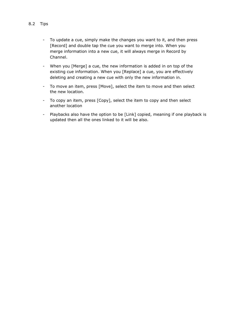- To update a cue, simply make the changes you want to it, and then press [Record] and double tap the cue you want to merge into. When you merge information into a new cue, it will always merge in Record by Channel.
- When you [Merge] a cue, the new information is added in on top of the existing cue information. When you [Replace] a cue, you are effectively deleting and creating a new cue with only the new information in.
- To move an item, press [Move], select the item to move and then select the new location.
- To copy an item, press [Copy], select the item to copy and then select another location
- Playbacks also have the option to be [Link] copied, meaning if one playback is updated then all the ones linked to it will be also.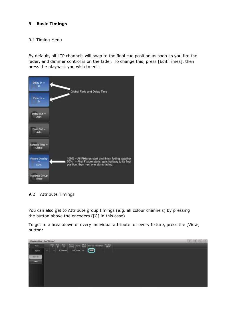## **9 Basic Timings**

#### 9.1 Timing Menu

By default, all LTP channels will snap to the final cue position as soon as you fire the fader, and dimmer control is on the fader. To change this, press [Edit Times], then press the playback you wish to edit.



## 9.2 Attribute Timings

You can also get to Attribute group timings (e.g. all colour channels) by pressing the button above the encoders ([C] in this case).

To get to a breakdown of every individual attribute for every fixture, press the [View] button:

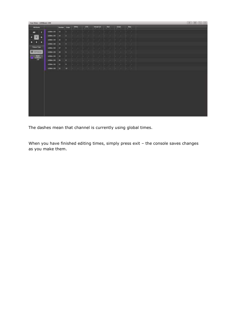| Cur View - LEDBeam 150                                                |            |                  |                      |    |       |          |                             |   |                  |     |                               | $=10101$ |
|-----------------------------------------------------------------------|------------|------------------|----------------------|----|-------|----------|-----------------------------|---|------------------|-----|-------------------------------|----------|
| <b>Atributes</b>                                                      |            |                  | <b>Number Online</b> |    | $W =$ | $\rm cm$ | Virtual Col<br><b>START</b> | A |                  | Com | $\mathfrak{g}_{\mathbb{R}^2}$ |          |
| A8                                                                    | т          | 1000m (30)       | m                    | ٠  |       | ×        |                             |   | $\sim$<br>$\sim$ |     | - 8                           |          |
| $\mathbf{C}$<br>в                                                     | $\epsilon$ | 1200m 230        | 10                   | п  | ×     |          | ÷                           | ٠ |                  | -   | $\sim$                        |          |
| в<br>Е                                                                | в          | UEEN 150         | ш                    | g  |       |          |                             |   |                  |     |                               |          |
|                                                                       |            | LEDON 130        | п                    | ٥  | ٠     | ٠        | 14<br>٠.                    |   | 14               | ٠.  |                               |          |
| <b>Follow Type</b>                                                    |            | 1200m 150        | $\overline{H}$       | в  | i÷    |          |                             |   |                  |     |                               |          |
| <b>B Alliana</b>                                                      |            | 12004197         | <b>I</b>             |    |       |          |                             |   |                  | ٠   |                               |          |
| $\begin{array}{c} \text{lim} \\ \text{lim} \\ \text{lim} \end{array}$ |            | 1006v 190        | m                    | п  |       |          |                             |   | $-1$             |     | $\sim$                        |          |
|                                                                       |            | LEDON 250        | 528                  | п  |       |          |                             |   |                  |     | ×                             |          |
|                                                                       |            | 1208W 197        | $\mathbb{R}$         | ٠  | 19    |          | 1m                          |   |                  | ✔   |                               |          |
|                                                                       |            | <b>URDev 198</b> | $-100$               | m. |       |          |                             |   |                  |     |                               |          |
|                                                                       |            |                  |                      |    |       |          |                             |   |                  |     |                               |          |
|                                                                       |            |                  |                      |    |       |          |                             |   |                  |     |                               |          |

The dashes mean that channel is currently using global times.

When you have finished editing times, simply press exit - the console saves changes as you make them.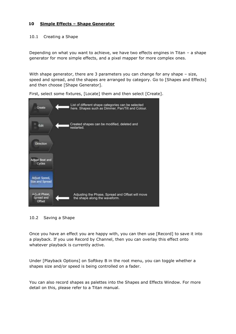## **10 Simple Effects – Shape Generator**

#### 10.1 Creating a Shape

Depending on what you want to achieve, we have two effects engines in Titan – a shape generator for more simple effects, and a pixel mapper for more complex ones.

With shape generator, there are 3 parameters you can change for any shape – size, speed and spread, and the shapes are arranged by category. Go to [Shapes and Effects] and then choose [Shape Generator].

First, select some fixtures, [Locate] them and then select [Create].





Once you have an effect you are happy with, you can then use [Record] to save it into a playback. If you use Record by Channel, then you can overlay this effect onto whatever playback is currently active.

Under [Playback Options] on Softkey B in the root menu, you can toggle whether a shapes size and/or speed is being controlled on a fader.

You can also record shapes as palettes into the Shapes and Effects Window. For more detail on this, please refer to a Titan manual.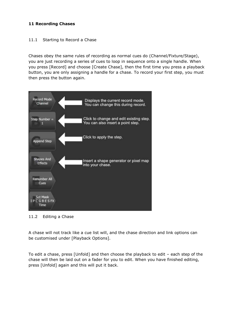## **11 Recording Chases**

#### 11.1 Starting to Record a Chase

Chases obey the same rules of recording as normal cues do (Channel/Fixture/Stage), you are just recording a series of cues to loop in sequence onto a single handle. When you press [Record] and choose [Create Chase], then the first time you press a playback button, you are only assigning a handle for a chase. To record your first step, you must then press the button again.



11.2 Editing a Chase

A chase will not track like a cue list will, and the chase direction and link options can be customised under [Playback Options].

To edit a chase, press [Unfold] and then choose the playback to edit – each step of the chase will then be laid out on a fader for you to edit. When you have finished editing, press [Unfold] again and this will put it back.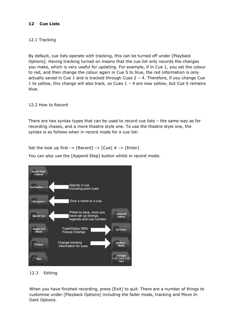## **12 Cue Lists**

## 12.1 Tracking

By default, cue lists operate with tracking, this can be turned off under [Playback Options]. Having tracking turned on means that the cue list only records the changes you make, which is very useful for updating. For example, if in Cue 1, you set the colour to red, and then change the colour again in Cue 5 to blue, the red information is only actually saved in Cue 1 and is tracked through Cues  $2 - 4$ . Therefore, if you change Cue 1 to yellow, this change will also track, so Cues 1 – 4 are now yellow, but Cue 5 remains blue.

12.2 How to Record

There are two syntax types that can be used to record cue lists – the same way as for recording chases, and a more theatre style one. To use the theatre style one, the syntax is as follows when in record mode for a cue list:

Set the look up first  $\cdot$  [Record]  $\cdot$  [Cue]  $\# \cdot$  [Enter]

Specify a cue. Including point cues. Give a name to a cue. Cue Legend = Press to save, once you Append Cu have set up timings, Ontic legends and cue number. Fade/Delay/ MID/ Set Tim **Fixture Overlap** Change tracking information for cues

You can also use the [Append Step] button whilst in record mode.

## 12.3 Editing

When you have finished recording, press [Exit] to quit. There are a number of things to customise under [Playback Options] including the fader mode, tracking and Move In Dark Options.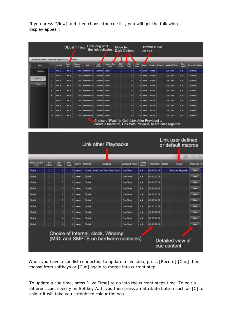If you press [View] and then choose the cue list, you will get the following display appear:

| Cues           |              | Legend | Fade<br>Out | Foture<br>Overlap | Link             | Link<br>Offset  | <b>Move In Dark</b><br>(MD)                       | MiD<br>Inhibit | <b>MID</b><br>Delay | MD<br>Fade | Curve    | Tracking      | Autoload | <b>Autologi Times</b>                                                               | Effect<br>Speed | Timecode |
|----------------|--------------|--------|-------------|-------------------|------------------|-----------------|---------------------------------------------------|----------------|---------------------|------------|----------|---------------|----------|-------------------------------------------------------------------------------------|-----------------|----------|
| <b>Options</b> | $\mathbf{1}$ | Cue 1  | As In       | 100               | Wait For Go      | <b>Disabled</b> | Global                                            | o              | o                   |            | 0 Linear | <b>Global</b> |          | <b>Cue Time</b>                                                                     | $\times 1$      | Disabled |
|                | 2            | Cue 2  | As In       | 100               | Walt For Go      | Disabled        | Global                                            | io             | D.                  |            | 0 Linear | Global        |          | <b>Cue Time</b>                                                                     | $\times 1$      | Disabled |
| Show All       | 3            | Cue 3  | As In       | 100               | Walt For Go      | Disabled        | Global                                            | $\Box$         | o                   |            | 0 Linear | Global        |          | <b>Cue Time</b>                                                                     | $x_1$           | Disabled |
| Times          | ۹            | Cue 4  | As In       |                   | 100 Walt For Go  | Disabled        | Global                                            | ١a             | o                   |            | 0 Linear | Global        |          | <b>Cue Time</b>                                                                     | $\times 1$      | Disabled |
|                | 5            | Cue 5  | As In       | 100               | Walt For Go      | <b>Disabled</b> | Global                                            | e              | $\sigma$            |            | 0 Linear | Global        |          | <b>Cue Time</b>                                                                     | $\times 1$      | Disabled |
|                | 6            | Cue 6  | As In       | 100               | Walt For Go      | Disabled        | Global                                            | IO.            | D.                  |            | 0 Linear | Global        |          | <b>Cue Time</b>                                                                     | $x_1$           | Disabled |
|                | 7            | Cue 7  | As In       | 100               | Wait For Go      | Disabled        | Global                                            | $\Box$         | $\bullet$           |            | 0 Linear | Global        |          | <b>Cue Time</b>                                                                     | $x_1$           | Disabled |
|                | B            | Cue 8  | As In       | $100 -$           | Walt For Go      | Disabled        | Global                                            | n              | o                   |            | 0 Linear | Global        |          | <b>Cue Time</b>                                                                     | $\times 1$      | Disabled |
|                | $\mathbf{9}$ | Cue 9  | As In       | 100               | Wait For Go      | Disabled        | Global                                            | e              | $\sigma$            |            | 0 Linear | Global        |          | <b>Cue Time</b>                                                                     | $\times 1$      | Disabled |
|                | 10           | Cue 10 | As In       |                   | 100 Wait For Go. | Disabled        | Global                                            | o              | D.                  |            | 0 Linear | Global        |          | <b>Cue Time</b>                                                                     | $\times 1$      | Disabled |
|                |              |        |             |                   |                  |                 | Choice of [Wait for Go], [Link After Previous] to |                |                     |            |          |               |          | create a follow on, Link With Previous] to fire cues together.<br>Link user defined |                 |          |

| <b>Move In Dark</b><br>(MD) | MG<br><b>Inhibit</b> | Mid<br>Delay | MED<br>Pade |                 | Curve Tracking | Autolosd                                                                   | <b>Autologi Times</b> | 2053<br>Speed  | Timecode    | <b>Notes</b> | Macros                          | <b>View Cue</b> |
|-----------------------------|----------------------|--------------|-------------|-----------------|----------------|----------------------------------------------------------------------------|-----------------------|----------------|-------------|--------------|---------------------------------|-----------------|
| Clobal                      | о                    | э            |             | 0 Lincor        | Gobol          | Load Cue 'Titan One Cue 1':                                                | <b>Que Time</b>       | $*1$           | 00:00:01.00 |              | Fre Last Playback               | <b>View</b>     |
| Global                      | <b>The State</b>     | ۰            |             | 0 Lines:        | Global         |                                                                            | <b>Cue Time</b>       | x <sub>1</sub> | 00:00:02.00 |              |                                 | View            |
| Clobal                      | Y5                   | ۰            |             | 0 Limite        | Gobia          |                                                                            | Ciac Tiens            | $\mathbf{H}$   | 00:00:03:00 |              |                                 | Visiw           |
| Global                      | œ                    | ø            |             | 0 Lincor        | Gobal          |                                                                            | <b>Que Time</b>       | $\times 1$     | 00:00:04.00 |              |                                 | View            |
| Global                      | œ                    | $\circ$      |             | <b>D</b> Einese | Global         |                                                                            | <b>Clue Timer</b>     | $3$            | 00:00:05.00 |              |                                 | View            |
| Global                      | n                    | ø            |             | 0 Linear        | Gobal          |                                                                            | <b>Que Time</b>       | $x +$          | 00:00:06.00 |              |                                 | View            |
| Global                      | <b>IC</b>            | ۰            |             | 0 Linear        | Gobal          |                                                                            | <b>Cue Time</b>       | x <sub>1</sub> | 00:00:07.00 |              |                                 | View            |
| Clobal                      | m                    | ۰            |             | 0 Links         | Gobia          |                                                                            | <b>Cue Time</b>       | $\mathbf{H}$   | 00:00:08.00 |              |                                 | Vitrw           |
| Global                      | o                    | ۰            |             | 0 Linear        | Gobal          |                                                                            | <b>Que Time</b>       | $\mathbf{x}$ 1 | 00:00:09.00 |              |                                 | View            |
| Clobal                      | m                    | $\circ$      |             | D. Linear       | Global         |                                                                            | <b>Clust Times</b>    | $3$            | 00-00-10.00 |              |                                 | View            |
|                             |                      |              |             |                 |                | Choice of Internal, clock, Winamp<br>(MIDI and SMPTE on hardware consoles) |                       |                |             |              | Detailed view of<br>cue content |                 |

When you have a cue list connected, to update a live step, press [Record] [Cue] then choose from softkeys or [Cue] again to merge into current step.

To update a cue time, press [Live Time] to go into the current steps time. To edit a different cue, specify on Softkey A. If you then press an attribute button such as [C] for colour it will take you straight to colour timings.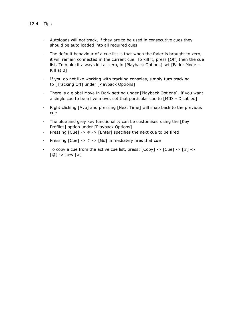- Autoloads will not track, if they are to be used in consecutive cues they should be auto loaded into all required cues
- The default behaviour of a cue list is that when the fader is brought to zero, it will remain connected in the current cue. To kill it, press [Off] then the cue list. To make it always kill at zero, in [Playback Options] set [Fader Mode – Kill at 0]
- If you do not like working with tracking consoles, simply turn tracking to [Tracking Off] under [Playback Options]
- There is a global Move in Dark setting under [Playback Options]. If you want a single cue to be a live move, set that particular cue to [MID – Disabled]
- Right clicking [Avo] and pressing [Next Time] will snap back to the previous cue
- The blue and grey key functionality can be customised using the [Key Profiles] option under [Playback Options]
- Pressing  $[Cue]$  ->  $#$  ->  $[Enter]$  specifies the next cue to be fired
- Pressing  $[Cue]$  ->  $#$  ->  $[Go]$  immediately fires that cue
- To copy a cue from the active cue list, press:  $[Copy]$  ->  $[Cue]$  ->  $[#]$  ->  $[@]$  -> new  $[#]$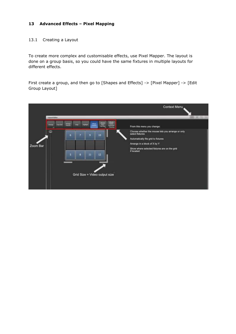## **13 Advanced Effects – Pixel Mapping**

#### 13.1 Creating a Layout

To create more complex and customisable effects, use Pixel Mapper. The layout is done on a group basis, so you could have the same fixtures in multiple layouts for different effects.

First create a group, and then go to [Shapes and Effects] -> [Pixel Mapper] -> [Edit Group Layout]

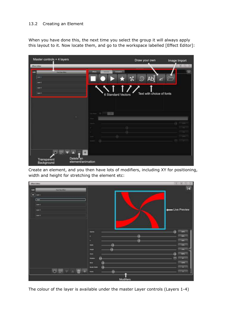## 13.2 Creating an Element

When you have done this, the next time you select the group it will always apply this layout to it. Now locate them, and go to the workspace labelled [Effect Editor]:

| Master controls + 4 layers                                                        | Draw your own<br>Image Import                   |
|-----------------------------------------------------------------------------------|-------------------------------------------------|
| <b><i>Affinite Editor</i></b><br><b>GD</b><br><b>COLOR</b><br><b>PARTIES STAR</b> | 011112<br>wanature<br><b>Connector</b>          |
| Level 4                                                                           | $\chi$ $\circ$ Ab $\circ$                       |
| layer it<br>Level 2<br>Layer 4.                                                   | Text with choice of fonts<br>6 Standard Vectors |
|                                                                                   |                                                 |
| Inchester (2)                                                                     | TEST                                            |
|                                                                                   |                                                 |
|                                                                                   | $-1$                                            |
|                                                                                   |                                                 |
| Delete an<br>Transparent<br>element/animation<br>Background                       |                                                 |

Create an element, and you then have lots of modifiers, including XY for positioning, width and height for stretching the element etc:



The colour of the layer is available under the master Layer controls (Layers 1-4)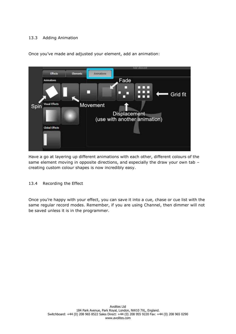# 13.3 Adding Animation



Once you've made and adjusted your element, add an animation:

Have a go at layering up different animations with each other, different colours of the same element moving in opposite directions, and especially the draw your own tab creating custom colour shapes is now incredibly easy.

## 13.4 Recording the Effect

Once you're happy with your effect, you can save it into a cue, chase or cue list with the same regular record modes. Remember, if you are using Channel, then dimmer will not be saved unless it is in the programmer.